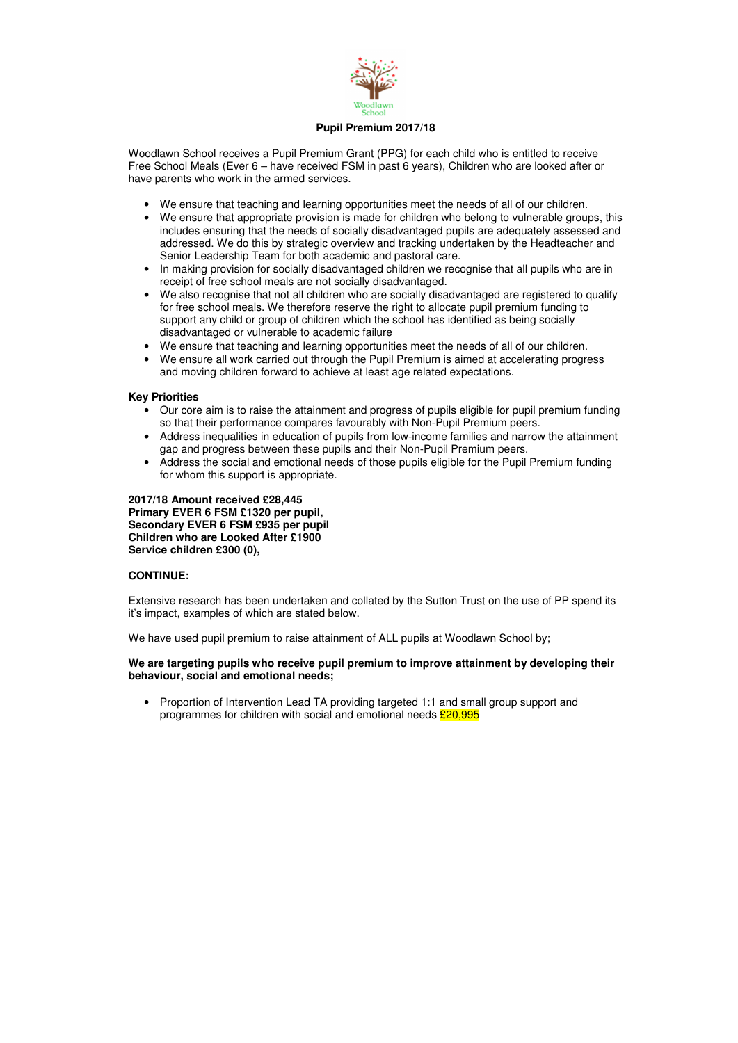

Woodlawn School receives a Pupil Premium Grant (PPG) for each child who is entitled to receive Free School Meals (Ever 6 – have received FSM in past 6 years), Children who are looked after or have parents who work in the armed services.

- We ensure that teaching and learning opportunities meet the needs of all of our children.
- We ensure that appropriate provision is made for children who belong to vulnerable groups, this includes ensuring that the needs of socially disadvantaged pupils are adequately assessed and addressed. We do this by strategic overview and tracking undertaken by the Headteacher and Senior Leadership Team for both academic and pastoral care.
- In making provision for socially disadvantaged children we recognise that all pupils who are in receipt of free school meals are not socially disadvantaged.
- We also recognise that not all children who are socially disadvantaged are registered to qualify for free school meals. We therefore reserve the right to allocate pupil premium funding to support any child or group of children which the school has identified as being socially disadvantaged or vulnerable to academic failure
- We ensure that teaching and learning opportunities meet the needs of all of our children.
- We ensure all work carried out through the Pupil Premium is aimed at accelerating progress and moving children forward to achieve at least age related expectations.

• Proportion of Intervention Lead TA providing targeted 1:1 and small group support and programmes for children with social and emotional needs  $£20,995$ 

## **Key Priorities**

- Our core aim is to raise the attainment and progress of pupils eligible for pupil premium funding so that their performance compares favourably with Non-Pupil Premium peers.
- Address inequalities in education of pupils from low-income families and narrow the attainment gap and progress between these pupils and their Non-Pupil Premium peers.
- Address the social and emotional needs of those pupils eligible for the Pupil Premium funding for whom this support is appropriate.

**2017/18 Amount received £28,445 Primary EVER 6 FSM £1320 per pupil, Secondary EVER 6 FSM £935 per pupil Children who are Looked After £1900 Service children £300 (0),** 

# **CONTINUE:**

Extensive research has been undertaken and collated by the Sutton Trust on the use of PP spend its it's impact, examples of which are stated below.

We have used pupil premium to raise attainment of ALL pupils at Woodlawn School by;

## **We are targeting pupils who receive pupil premium to improve attainment by developing their behaviour, social and emotional needs;**